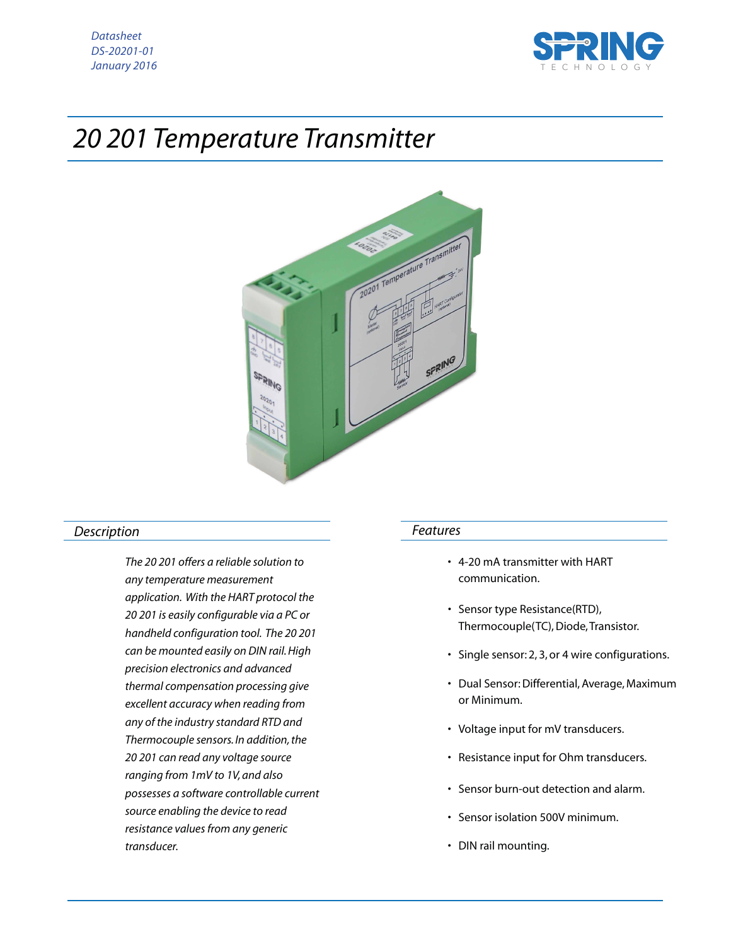



# *20 201 Temperature Transmitter*



## *Description*

*The 20 201 offers a reliable solution to any temperature measurement application. With the HART protocol the 20 201 is easily configurable via a PC or handheld configuration tool. The 20 201 can be mounted easily on DIN rail. High precision electronics and advanced thermal compensation processing give excellent accuracy when reading from any of the industry standard RTD and Thermocouple sensors. In addition, the 20 201 can read any voltage source ranging from 1mV to 1V, and also possesses a software controllable current source enabling the device to read resistance values from any generic transducer.*

#### *Features*

- 4-20 mA transmitter with HART communication.
- Sensor type Resistance(RTD), Thermocouple(TC), Diode, Transistor.
- Single sensor: 2, 3, or 4 wire configurations.
- Dual Sensor: Differential, Average, Maximum or Minimum.
- Voltage input for mV transducers.
- Resistance input for Ohm transducers.
- Sensor burn-out detection and alarm.
- Sensor isolation 500V minimum.
- DIN rail mounting.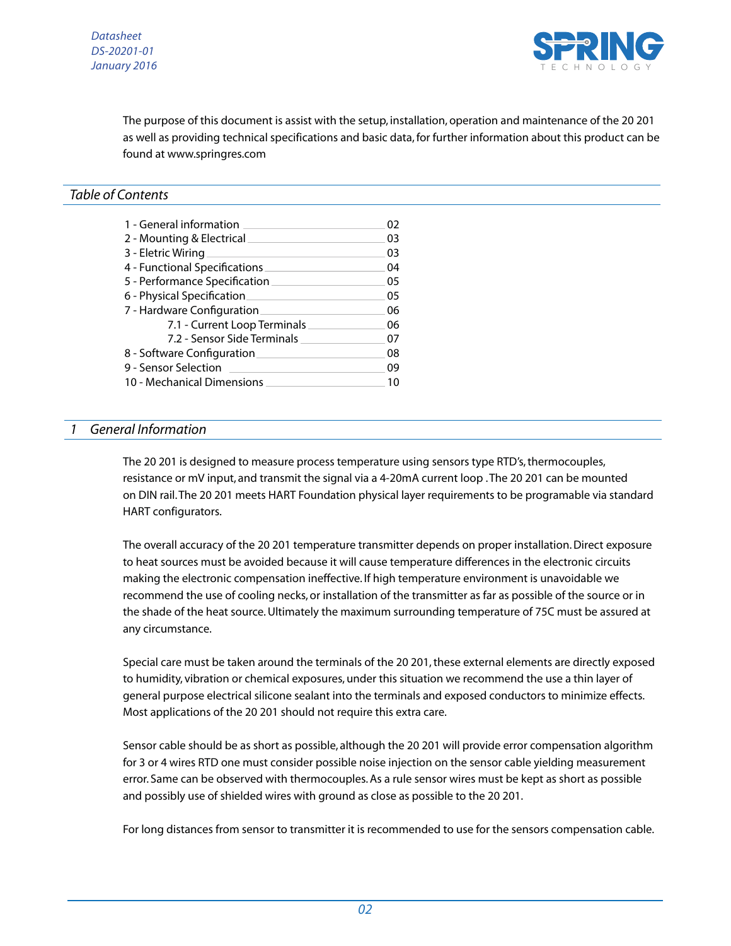

The purpose of this document is assist with the setup, installation, operation and maintenance of the 20 201 as well as providing technical specifications and basic data, for further information about this product can be found at www.springres.com

## *Table of Contents*

| 1 - General information       | 02 |
|-------------------------------|----|
| 2 - Mounting & Electrical     | 03 |
| 3 - Eletric Wiring            | 03 |
| 4 - Functional Specifications | 04 |
| 5 - Performance Specification | 05 |
| 6 - Physical Specification    | 05 |
| 7 - Hardware Configuration    | 06 |
| 7.1 - Current Loop Terminals  | 06 |
| 7.2 - Sensor Side Terminals   | 07 |
| 8 - Software Configuration    | 08 |
| 9 - Sensor Selection          | 09 |
| 10 - Mechanical Dimensions    |    |

#### *1 General Information*

The 20 201 is designed to measure process temperature using sensors type RTD's, thermocouples, resistance or mV input, and transmit the signal via a 4-20mA current loop . The 20 201 can be mounted on DIN rail. The 20 201 meets HART Foundation physical layer requirements to be programable via standard HART configurators.

The overall accuracy of the 20 201 temperature transmitter depends on proper installation. Direct exposure to heat sources must be avoided because it will cause temperature differences in the electronic circuits making the electronic compensation ineffective. If high temperature environment is unavoidable we recommend the use of cooling necks, or installation of the transmitter as far as possible of the source or in the shade of the heat source. Ultimately the maximum surrounding temperature of 75C must be assured at any circumstance.

Special care must be taken around the terminals of the 20 201, these external elements are directly exposed to humidity, vibration or chemical exposures, under this situation we recommend the use a thin layer of general purpose electrical silicone sealant into the terminals and exposed conductors to minimize effects. Most applications of the 20 201 should not require this extra care.

Sensor cable should be as short as possible, although the 20 201 will provide error compensation algorithm for 3 or 4 wires RTD one must consider possible noise injection on the sensor cable yielding measurement error. Same can be observed with thermocouples. As a rule sensor wires must be kept as short as possible and possibly use of shielded wires with ground as close as possible to the 20 201.

For long distances from sensor to transmitter it is recommended to use for the sensors compensation cable.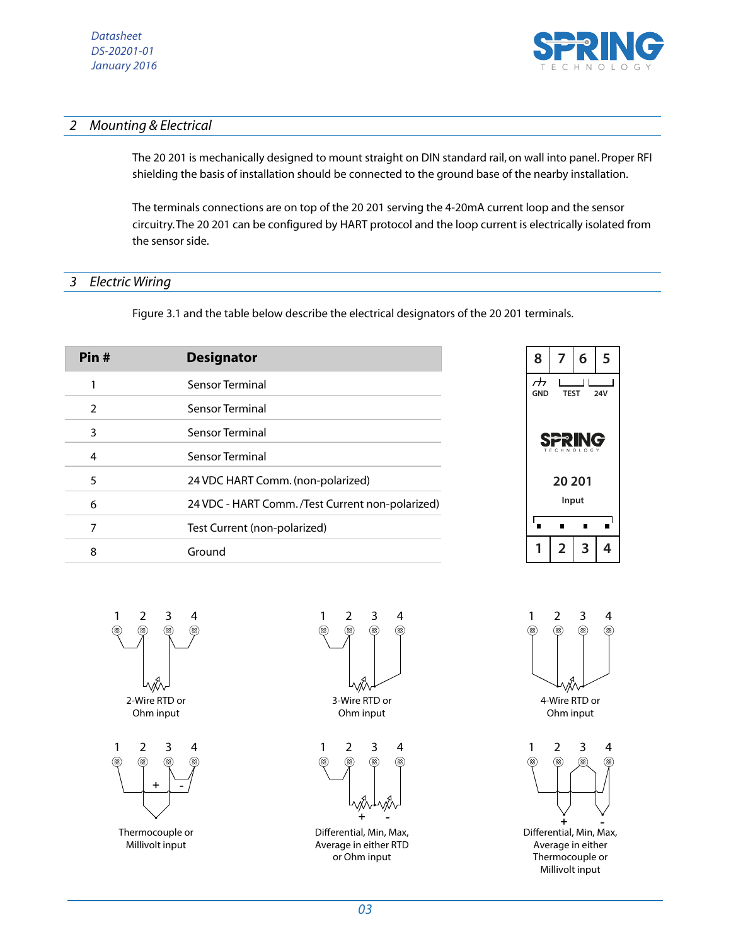

## *2 Mounting & Electrical*

The 20 201 is mechanically designed to mount straight on DIN standard rail, on wall into panel. Proper RFI shielding the basis of installation should be connected to the ground base of the nearby installation.

The terminals connections are on top of the 20 201 serving the 4-20mA current loop and the sensor circuitry. The 20 201 can be configured by HART protocol and the loop current is electrically isolated from the sensor side.

## *3 Electric Wiring*

Figure 3.1 and the table below describe the electrical designators of the 20 201 terminals.

| Pin#          | <b>Designator</b>                                 |
|---------------|---------------------------------------------------|
|               | Sensor Terminal                                   |
| $\mathcal{P}$ | Sensor Terminal                                   |
| 3             | Sensor Terminal                                   |
| 4             | Sensor Terminal                                   |
| 5             | 24 VDC HART Comm. (non-polarized)                 |
| 6             | 24 VDC - HART Comm. / Test Current non-polarized) |
| 7             | Test Current (non-polarized)                      |
| 8             | Ground                                            |









Average in either RTD or Ohm input

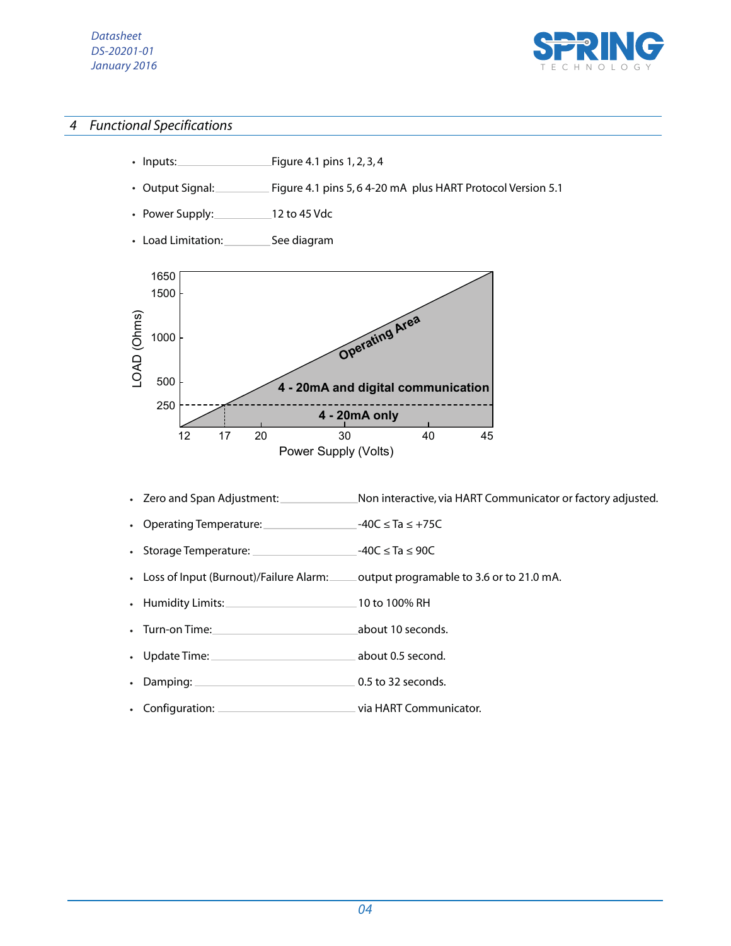## *Datasheet DS-20201-01 January 2016*



# *4 Functional Specifications*

- $\frac{1}{2}$  Figure 4.1 pins 1, 2, 3, 4 • Inputs:
- Figure 4.1 pins 5, 6 4-20 mA plus HART Protocol Version 5.1 • Output Signal:
- Power Supply: 12 to 45 Vdc *•*
- Load Limitation: \_\_\_\_\_\_\_\_\_\_See diagram



- Zero and Span Adjustment: Non interactive, via HART Communicator or factory adjusted. *•*
- Operating Temperature: -40C ≤ Ta ≤ +75C *•*
- Storage Temperature: \_\_\_\_\_\_\_\_\_\_\_\_\_\_\_\_\_\_\_\_\_\_\_\_-40C ≤ Ta ≤ 90C *•*
- Loss of Input (Burnout)/Failure Alarm: \_\_\_\_\_ output programable to 3.6 or to 21.0 mA. *•*
- Humidity Limits: 10 to 100% RH *•*
- Turn-on Time: <u>about 10 seconds</u>. *•*
- Update Time: about 0.5 second. *•*
- Damping: 0.5 to 32 seconds. *•*
- **CONFIGURAT COMMUNICATOR:** via HART Communicator. *•*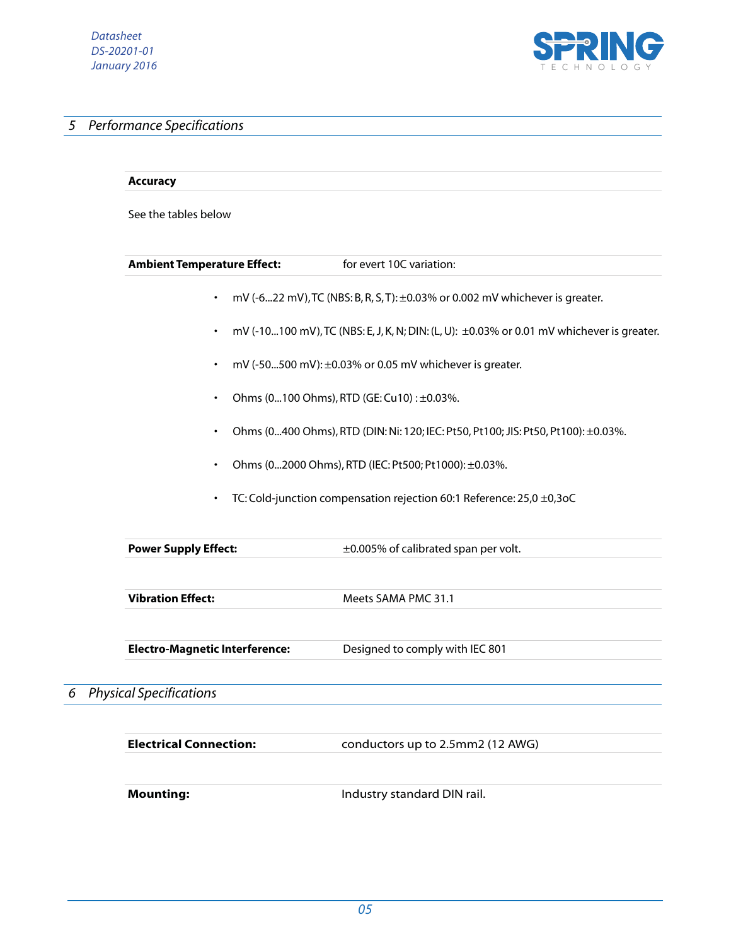

# *5 Performance Specifications*

|                                                                                                                                                | <b>Accuracy</b>                       |                                                                                           |                             |  |
|------------------------------------------------------------------------------------------------------------------------------------------------|---------------------------------------|-------------------------------------------------------------------------------------------|-----------------------------|--|
|                                                                                                                                                | See the tables below                  |                                                                                           |                             |  |
|                                                                                                                                                | <b>Ambient Temperature Effect:</b>    | for evert 10C variation:                                                                  |                             |  |
|                                                                                                                                                | $\bullet$                             | mV (-622 mV), TC (NBS: B, R, S, T): ±0.03% or 0.002 mV whichever is greater.              |                             |  |
|                                                                                                                                                | $\bullet$                             | mV (-10100 mV), TC (NBS: E, J, K, N; DIN: (L, U): ±0.03% or 0.01 mV whichever is greater. |                             |  |
|                                                                                                                                                | ٠                                     | mV (-50500 mV): ±0.03% or 0.05 mV whichever is greater.                                   |                             |  |
|                                                                                                                                                |                                       | Ohms (0100 Ohms), RTD (GE: Cu10): ±0.03%.                                                 |                             |  |
| Ohms (0400 Ohms), RTD (DIN: Ni: 120; IEC: Pt50, Pt100; JIS: Pt50, Pt100): ±0.03%.<br>Ohms (02000 Ohms), RTD (IEC: Pt500; Pt1000): ±0.03%.<br>٠ |                                       |                                                                                           |                             |  |
|                                                                                                                                                |                                       |                                                                                           | <b>Power Supply Effect:</b> |  |
|                                                                                                                                                | <b>Vibration Effect:</b>              | Meets SAMA PMC 31.1                                                                       |                             |  |
|                                                                                                                                                | <b>Electro-Magnetic Interference:</b> | Designed to comply with IEC 801                                                           |                             |  |
|                                                                                                                                                | 6 Physical Specifications             |                                                                                           |                             |  |
|                                                                                                                                                | <b>Electrical Connection:</b>         | conductors up to 2.5mm2 (12 AWG)                                                          |                             |  |
|                                                                                                                                                | <b>Mounting:</b>                      | Industry standard DIN rail.                                                               |                             |  |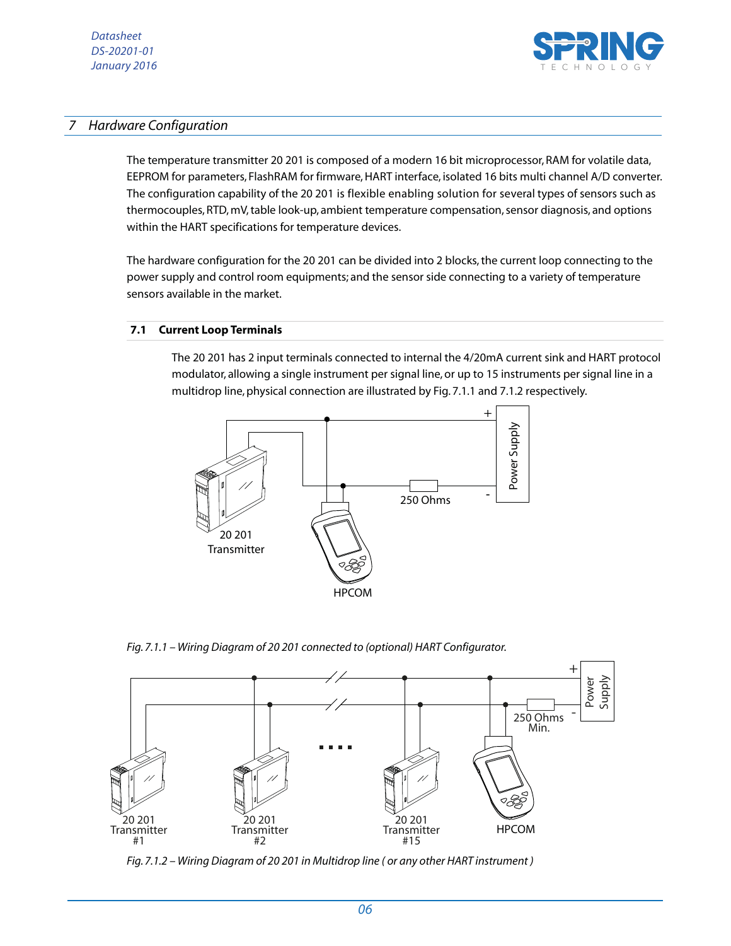

# *7 Hardware Configuration*

The temperature transmitter 20 201 is composed of a modern 16 bit microprocessor, RAM for volatile data, EEPROM for parameters, FlashRAM for firmware, HART interface, isolated 16 bits multi channel A/D converter. The configuration capability of the 20 201 is flexible enabling solution for several types of sensors such as thermocouples, RTD, mV, table look-up, ambient temperature compensation, sensor diagnosis, and options within the HART specifications for temperature devices.

The hardware configuration for the 20 201 can be divided into 2 blocks, the current loop connecting to the power supply and control room equipments; and the sensor side connecting to a variety of temperature sensors available in the market.

#### **7.1 Current Loop Terminals**

The 20 201 has 2 input terminals connected to internal the 4/20mA current sink and HART protocol modulator, allowing a single instrument per signal line, or up to 15 instruments per signal line in a multidrop line, physical connection are illustrated by Fig. 7.1.1 and 7.1.2 respectively.



*Fig. 7.1.1 – Wiring Diagram of 20 201 connected to (optional) HART Configurator.*



*Fig. 7.1.2 – Wiring Diagram of 20 201 in Multidrop line ( or any other HART instrument )*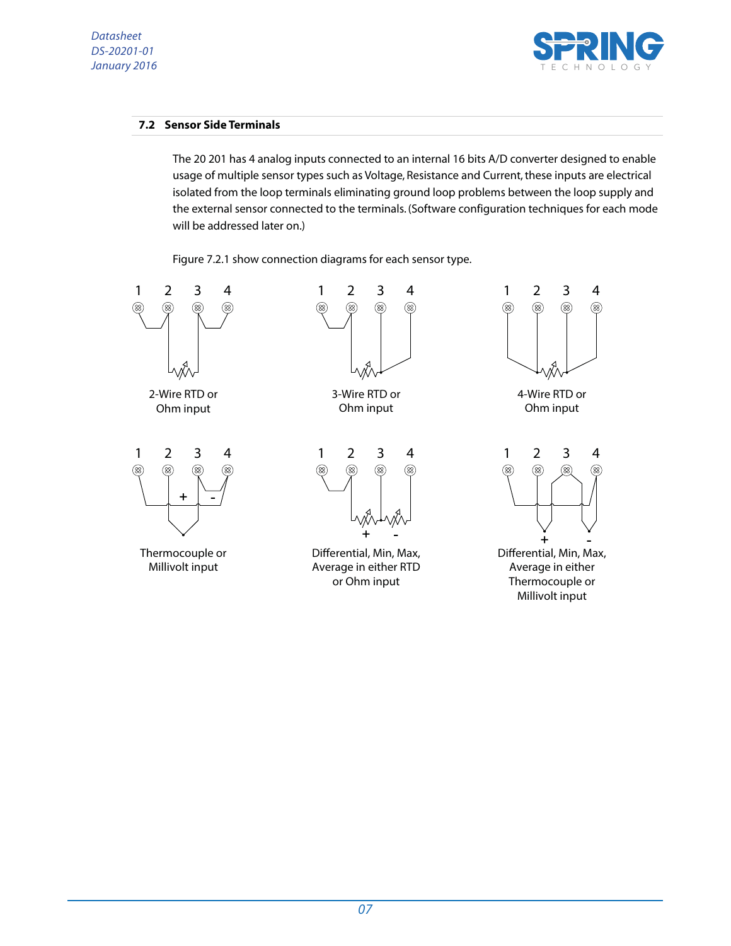## *Datasheet DS-20201-01 January 2016*



## **7.2 Sensor Side Terminals**

The 20 201 has 4 analog inputs connected to an internal 16 bits A/D converter designed to enable usage of multiple sensor types such as Voltage, Resistance and Current, these inputs are electrical isolated from the loop terminals eliminating ground loop problems between the loop supply and the external sensor connected to the terminals. (Software configuration techniques for each mode will be addressed later on.)

Figure 7.2.1 show connection diagrams for each sensor type.

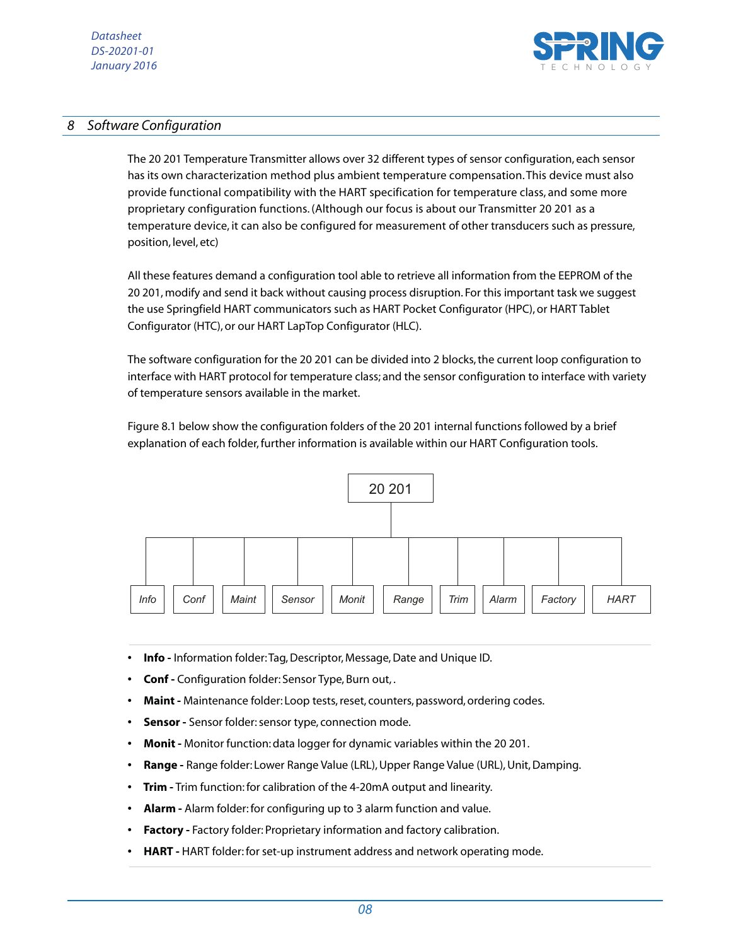

# *8 Software Configuration*

The 20 201 Temperature Transmitter allows over 32 different types of sensor configuration, each sensor has its own characterization method plus ambient temperature compensation. This device must also provide functional compatibility with the HART specification for temperature class, and some more proprietary configuration functions. (Although our focus is about our Transmitter 20 201 as a temperature device, it can also be configured for measurement of other transducers such as pressure, position, level, etc)

All these features demand a configuration tool able to retrieve all information from the EEPROM of the 20 201, modify and send it back without causing process disruption. For this important task we suggest the use Springfield HART communicators such as HART Pocket Configurator (HPC), or HART Tablet Configurator (HTC), or our HART LapTop Configurator (HLC).

The software configuration for the 20 201 can be divided into 2 blocks, the current loop configuration to interface with HART protocol for temperature class; and the sensor configuration to interface with variety of temperature sensors available in the market.

Figure 8.1 below show the configuration folders of the 20 201 internal functions followed by a brief explanation of each folder, further information is available within our HART Configuration tools.



- **Info -** Information folder: Tag, Descriptor, Message, Date and Unique ID.
- **Conf -** Configuration folder: Sensor Type, Burn out, .
- **Maint** Maintenance folder: Loop tests, reset, counters, password, ordering codes.
- **Sensor -** Sensor folder: sensor type, connection mode.
- **Monit** Monitor function: data logger for dynamic variables within the 20 201.
- **Range -** Range folder: Lower Range Value (LRL), Upper Range Value (URL), Unit, Damping.
- **Trim -** Trim function: for calibration of the 4-20mA output and linearity.
- **Alarm -** Alarm folder: for configuring up to 3 alarm function and value.
- **Factory** Factory folder: Proprietary information and factory calibration.
- **HART -** HART folder: for set-up instrument address and network operating mode.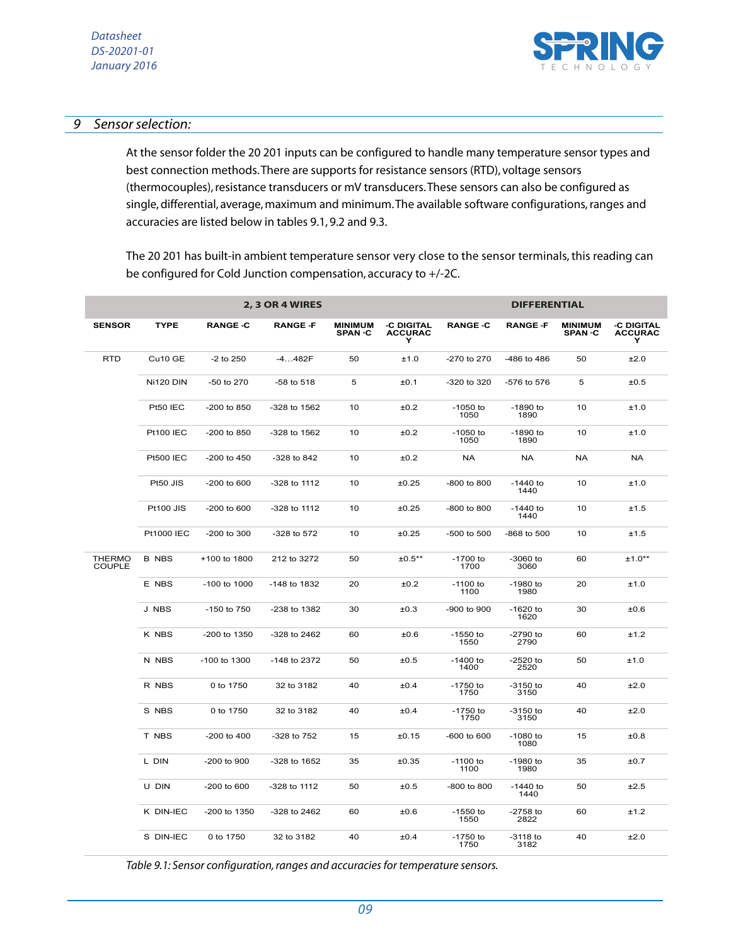

# *9 Sensor selection:*

At the sensor folder the 20 201 inputs can be configured to handle many temperature sensor types and best connection methods. There are supports for resistance sensors (RTD), voltage sensors (thermocouples), resistance transducers or mV transducers. These sensors can also be configured as single, differential, average, maximum and minimum. The available software configurations, ranges and accuracies are listed below in tables 9.1, 9.2 and 9.3.

The 20 201 has built-in ambient temperature sensor very close to the sensor terminals, this reading can be configured for Cold Junction compensation, accuracy to +/-2C.

|                                |                   |                 | 2, 3 OR 4 WIRES |                                 |                                   |                    | <b>DIFFERENTIAL</b> |                                  |                                   |
|--------------------------------|-------------------|-----------------|-----------------|---------------------------------|-----------------------------------|--------------------|---------------------|----------------------------------|-----------------------------------|
| <b>SENSOR</b>                  | <b>TYPE</b>       | <b>RANGE .C</b> | <b>RANGE</b> ·F | <b>MINIMUM</b><br><b>SPAN C</b> | ∘C DIGITAL<br><b>ACCURAC</b><br>Υ | <b>RANGE .C</b>    | <b>RANGE</b> ·F     | <b>MINIMUM</b><br><b>SPAN</b> .C | ∘C DIGITAL<br><b>ACCURAC</b><br>Y |
| <b>RTD</b>                     | Cu10 GE           | $-2$ to $250$   | $-4482F$        | 50                              | ±1.0                              | -270 to 270        | -486 to 486         | 50                               | ±2.0                              |
|                                | <b>Ni120 DIN</b>  | -50 to 270      | $-58$ to $518$  | 5                               | ±0.1                              | -320 to 320        | -576 to 576         | 5                                | ±0.5                              |
|                                | Pt50 IEC          | -200 to 850     | -328 to 1562    | 10                              | ±0.2                              | $-1050$ to<br>1050 | $-1890$ to<br>1890  | 10                               | ±1.0                              |
|                                | <b>Pt100 IEC</b>  | $-200$ to 850   | -328 to 1562    | 10                              | ±0.2                              | $-1050$ to<br>1050 | $-1890$ to<br>1890  | 10                               | ±1.0                              |
|                                | <b>Pt500 IEC</b>  | -200 to 450     | -328 to 842     | 10                              | ±0.2                              | <b>NA</b>          | <b>NA</b>           | <b>NA</b>                        | <b>NA</b>                         |
|                                | Pt50 JIS          | -200 to 600     | -328 to 1112    | 10                              | ±0.25                             | -800 to 800        | $-1440$ to<br>1440  | 10                               | ±1.0                              |
|                                | <b>Pt100 JIS</b>  | -200 to 600     | -328 to 1112    | 10                              | ±0.25                             | -800 to 800        | $-1440$ to<br>1440  | 10                               | ±1.5                              |
|                                | <b>Pt1000 IEC</b> | -200 to 300     | -328 to 572     | 10                              | ±0.25                             | -500 to 500        | -868 to 500         | 10                               | ±1.5                              |
| <b>THERMO</b><br><b>COUPLE</b> | B NBS             | +100 to 1800    | 212 to 3272     | 50                              | $±0.5***$                         | $-1700$ to<br>1700 | $-3060$ to<br>3060  | 60                               | $±1.0**$                          |
|                                | E NBS             | -100 to 1000    | -148 to 1832    | 20                              | ±0.2                              | $-1100$ to<br>1100 | $-1980$ to<br>1980  | 20                               | ±1.0                              |
|                                | J NBS             | -150 to 750     | -238 to 1382    | 30                              | ±0.3                              | -900 to 900        | $-1620$ to<br>1620  | 30                               | ±0.6                              |
|                                | K NBS             | -200 to 1350    | -328 to 2462    | 60                              | ±0.6                              | $-1550$ to<br>1550 | $-2790$ to<br>2790  | 60                               | ±1.2                              |
|                                | N NBS             | -100 to 1300    | -148 to 2372    | 50                              | ±0.5                              | $-1400$ to<br>1400 | $-2520$ to<br>2520  | 50                               | ±1.0                              |
|                                | R NBS             | 0 to 1750       | 32 to 3182      | 40                              | ±0.4                              | $-1750$ to<br>1750 | $-3150$ to<br>3150  | 40                               | ±2.0                              |
|                                | S NBS             | 0 to 1750       | 32 to 3182      | 40                              | ±0.4                              | $-1750$ to<br>1750 | $-3150$ to<br>3150  | 40                               | ±2.0                              |
|                                | T NBS             | -200 to 400     | -328 to 752     | 15                              | ±0.15                             | -600 to 600        | $-1080$ to<br>1080  | 15                               | ±0.8                              |
|                                | L DIN             | -200 to 900     | -328 to 1652    | 35                              | ±0.35                             | $-1100$ to<br>1100 | $-1980$ to<br>1980  | 35                               | ±0.7                              |
|                                | U DIN             | $-200$ to 600   | -328 to 1112    | 50                              | ±0.5                              | $-800$ to $800$    | -1440 to<br>1440    | 50                               | ±2.5                              |
|                                | K DIN-IEC         | -200 to 1350    | -328 to 2462    | 60                              | ±0.6                              | $-1550$ to<br>1550 | $-2758$ to<br>2822  | 60                               | ±1.2                              |
|                                | S DIN-IEC         | 0 to 1750       | 32 to 3182      | 40                              | ±0.4                              | $-1750$ to<br>1750 | $-3118$ to<br>3182  | 40                               | ±2.0                              |

*Table 9.1: Sensor configuration, ranges and accuracies for temperature sensors.*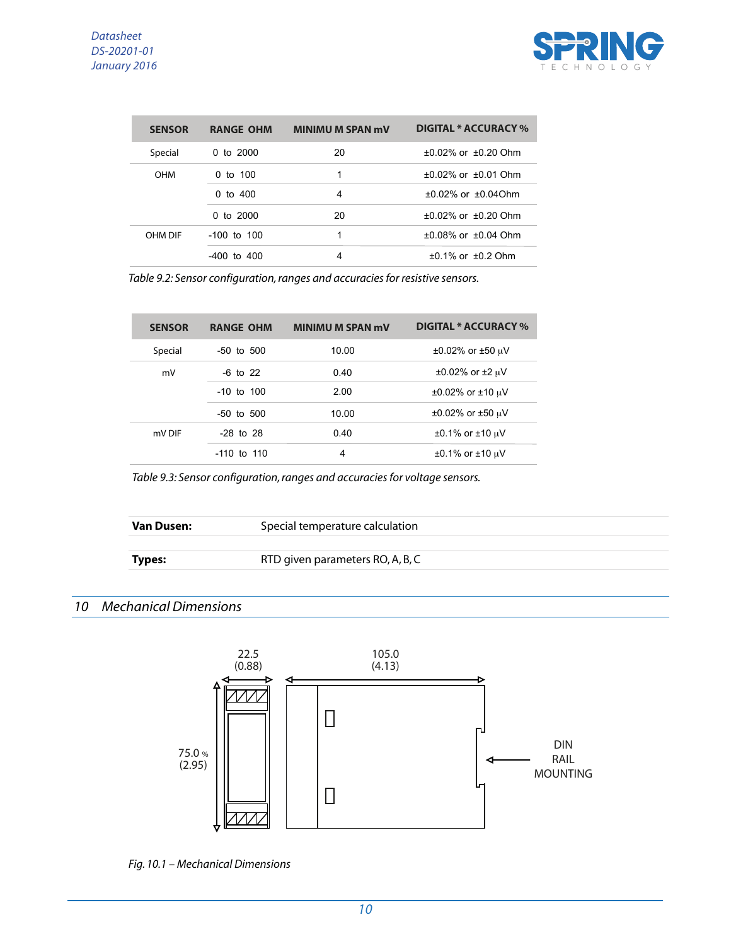

| <b>SENSOR</b> | <b>RANGE OHM</b> | <b>MINIMU M SPAN mV</b> | DIGITAL * ACCURACY %     |
|---------------|------------------|-------------------------|--------------------------|
| Special       | 0 to $2000$      | 20                      | $+0.02\%$ or $+0.20$ Ohm |
| <b>OHM</b>    | 0 to $100$       | 1                       | $+0.02\%$ or $+0.01$ Ohm |
|               | 0 to $400$       | 4                       | $+0.02\%$ or $+0.04$ Ohm |
|               | 0 to $2000$      | 20                      | $+0.02\%$ or $+0.20$ Ohm |
| OHM DIF       | $-100$ to $100$  | 1                       | $+0.08\%$ or $+0.04$ Ohm |
|               | $-400$ to $400$  | 4                       | $±0.1\%$ or $±0.2$ Ohm   |

*Table 9.2: Sensor configuration, ranges and accuracies for resistive sensors.*

| <b>SENSOR</b> | <b>RANGE OHM</b> | <b>MINIMU M SPAN mV</b> | <b>DIGITAL * ACCURACY %</b>   |
|---------------|------------------|-------------------------|-------------------------------|
| Special       | $-50$ to $500$   | 10.00                   | $±0.02\%$ or $±50 \mu V$      |
| mV            | $-6$ to 22       | 0.40                    | $\pm 0.02\%$ or $\pm 2 \mu V$ |
|               | $-10$ to $100$   | 2.00                    | $±0.02\%$ or $±10 \mu V$      |
|               | $-50$ to $500$   | 10.00                   | $±0.02\%$ or $±50 \mu V$      |
| mV DIF        | $-28$ to $28$    | 0.40                    | $±0.1\%$ or $±10 \mu V$       |
|               | $-110$ to $110$  | 4                       | $±0.1\%$ or $±10 \mu V$       |

*Table 9.3: Sensor configuration, ranges and accuracies for voltage sensors.*

| <b>Van Dusen:</b> | Special temperature calculation  |  |  |
|-------------------|----------------------------------|--|--|
|                   |                                  |  |  |
| <b>Types:</b>     | RTD given parameters RO, A, B, C |  |  |
|                   |                                  |  |  |

# *10 Mechanical Dimensions*



*Fig. 10.1 – Mechanical Dimensions*